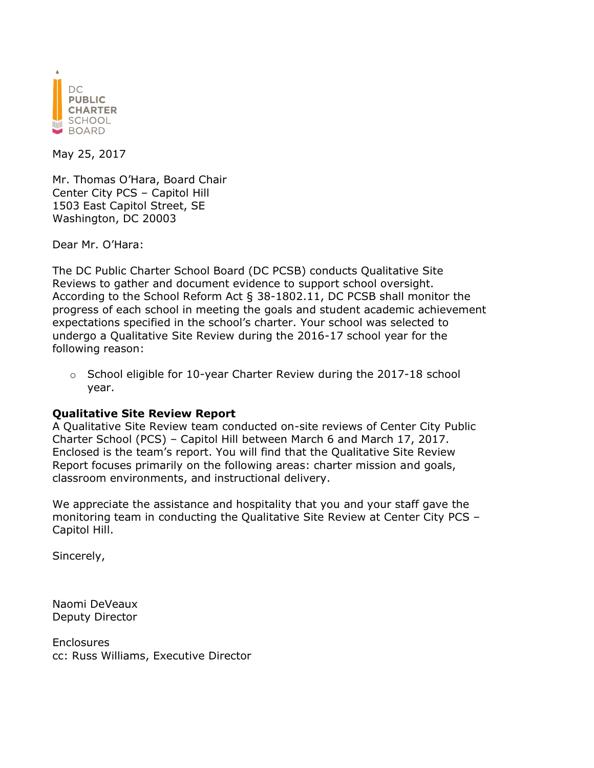

May 25, 2017

Mr. Thomas O'Hara, Board Chair Center City PCS – Capitol Hill 1503 East Capitol Street, SE Washington, DC 20003

Dear Mr. O'Hara:

The DC Public Charter School Board (DC PCSB) conducts Qualitative Site Reviews to gather and document evidence to support school oversight. According to the School Reform Act § 38-1802.11, DC PCSB shall monitor the progress of each school in meeting the goals and student academic achievement expectations specified in the school's charter. Your school was selected to undergo a Qualitative Site Review during the 2016-17 school year for the following reason:

 $\circ$  School eligible for 10-year Charter Review during the 2017-18 school year.

#### **Qualitative Site Review Report**

A Qualitative Site Review team conducted on-site reviews of Center City Public Charter School (PCS) – Capitol Hill between March 6 and March 17, 2017. Enclosed is the team's report. You will find that the Qualitative Site Review Report focuses primarily on the following areas: charter mission and goals, classroom environments, and instructional delivery.

We appreciate the assistance and hospitality that you and your staff gave the monitoring team in conducting the Qualitative Site Review at Center City PCS – Capitol Hill.

Sincerely,

Naomi DeVeaux Deputy Director

**Enclosures** cc: Russ Williams, Executive Director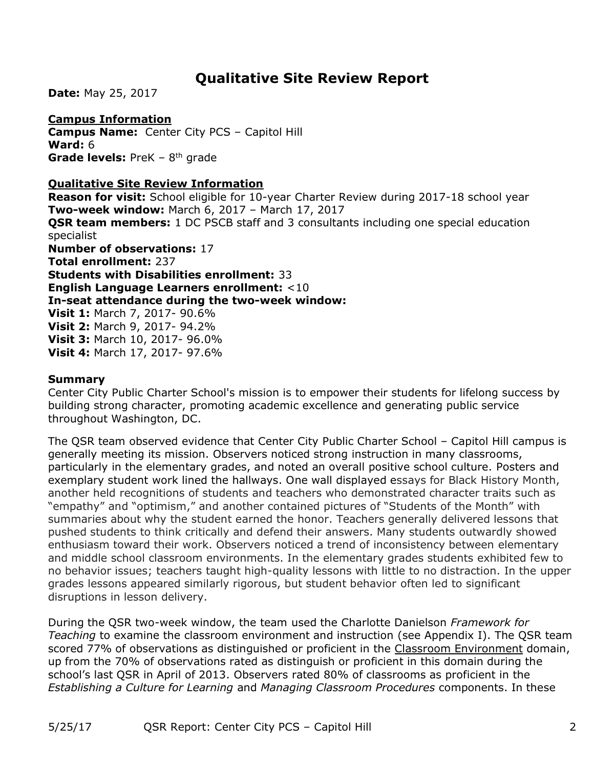# **Qualitative Site Review Report**

**Date:** May 25, 2017

#### **Campus Information**

**Campus Name:** Center City PCS – Capitol Hill **Ward:** 6 Grade levels: PreK - 8<sup>th</sup> grade

#### **Qualitative Site Review Information**

**Reason for visit:** School eligible for 10-year Charter Review during 2017-18 school year **Two-week window:** March 6, 2017 – March 17, 2017 **QSR team members:** 1 DC PSCB staff and 3 consultants including one special education specialist **Number of observations:** 17 **Total enrollment:** 237 **Students with Disabilities enrollment:** 33 **English Language Learners enrollment:** <10 **In-seat attendance during the two-week window: Visit 1:** March 7, 2017- 90.6% **Visit 2:** March 9, 2017- 94.2% **Visit 3:** March 10, 2017- 96.0% **Visit 4:** March 17, 2017- 97.6%

#### **Summary**

Center City Public Charter School's mission is to empower their students for lifelong success by building strong character, promoting academic excellence and generating public service throughout Washington, DC.

The QSR team observed evidence that Center City Public Charter School – Capitol Hill campus is generally meeting its mission. Observers noticed strong instruction in many classrooms, particularly in the elementary grades, and noted an overall positive school culture. Posters and exemplary student work lined the hallways. One wall displayed essays for Black History Month, another held recognitions of students and teachers who demonstrated character traits such as "empathy" and "optimism," and another contained pictures of "Students of the Month" with summaries about why the student earned the honor. Teachers generally delivered lessons that pushed students to think critically and defend their answers. Many students outwardly showed enthusiasm toward their work. Observers noticed a trend of inconsistency between elementary and middle school classroom environments. In the elementary grades students exhibited few to no behavior issues; teachers taught high-quality lessons with little to no distraction. In the upper grades lessons appeared similarly rigorous, but student behavior often led to significant disruptions in lesson delivery.

During the QSR two-week window, the team used the Charlotte Danielson *Framework for Teaching* to examine the classroom environment and instruction (see Appendix I). The QSR team scored 77% of observations as distinguished or proficient in the Classroom Environment domain, up from the 70% of observations rated as distinguish or proficient in this domain during the school's last QSR in April of 2013. Observers rated 80% of classrooms as proficient in the *Establishing a Culture for Learning* and *Managing Classroom Procedures* components. In these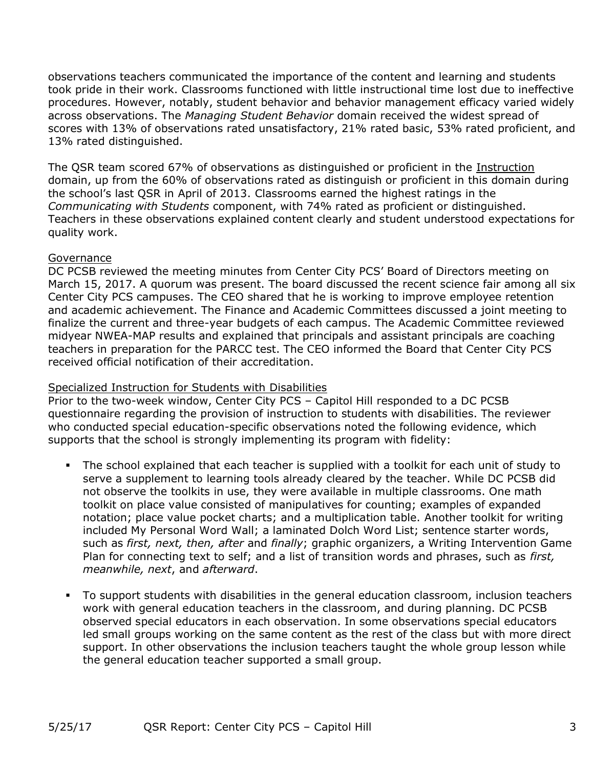observations teachers communicated the importance of the content and learning and students took pride in their work. Classrooms functioned with little instructional time lost due to ineffective procedures. However, notably, student behavior and behavior management efficacy varied widely across observations. The *Managing Student Behavior* domain received the widest spread of scores with 13% of observations rated unsatisfactory, 21% rated basic, 53% rated proficient, and 13% rated distinguished.

The QSR team scored 67% of observations as distinguished or proficient in the Instruction domain, up from the 60% of observations rated as distinguish or proficient in this domain during the school's last QSR in April of 2013. Classrooms earned the highest ratings in the *Communicating with Students* component, with 74% rated as proficient or distinguished. Teachers in these observations explained content clearly and student understood expectations for quality work.

#### Governance

DC PCSB reviewed the meeting minutes from Center City PCS' Board of Directors meeting on March 15, 2017. A quorum was present. The board discussed the recent science fair among all six Center City PCS campuses. The CEO shared that he is working to improve employee retention and academic achievement. The Finance and Academic Committees discussed a joint meeting to finalize the current and three-year budgets of each campus. The Academic Committee reviewed midyear NWEA-MAP results and explained that principals and assistant principals are coaching teachers in preparation for the PARCC test. The CEO informed the Board that Center City PCS received official notification of their accreditation.

#### Specialized Instruction for Students with Disabilities

Prior to the two-week window, Center City PCS – Capitol Hill responded to a DC PCSB questionnaire regarding the provision of instruction to students with disabilities. The reviewer who conducted special education-specific observations noted the following evidence, which supports that the school is strongly implementing its program with fidelity:

- The school explained that each teacher is supplied with a toolkit for each unit of study to serve a supplement to learning tools already cleared by the teacher. While DC PCSB did not observe the toolkits in use, they were available in multiple classrooms. One math toolkit on place value consisted of manipulatives for counting; examples of expanded notation; place value pocket charts; and a multiplication table. Another toolkit for writing included My Personal Word Wall; a laminated Dolch Word List; sentence starter words, such as *first, next, then, after* and *finally*; graphic organizers, a Writing Intervention Game Plan for connecting text to self; and a list of transition words and phrases, such as *first, meanwhile, next*, and *afterward*.
- To support students with disabilities in the general education classroom, inclusion teachers work with general education teachers in the classroom, and during planning. DC PCSB observed special educators in each observation. In some observations special educators led small groups working on the same content as the rest of the class but with more direct support. In other observations the inclusion teachers taught the whole group lesson while the general education teacher supported a small group.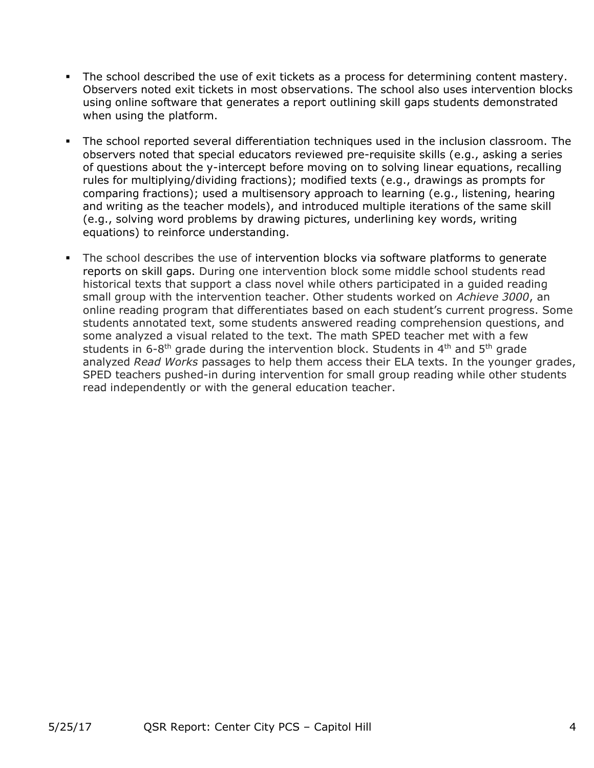- The school described the use of exit tickets as a process for determining content mastery. Observers noted exit tickets in most observations. The school also uses intervention blocks using online software that generates a report outlining skill gaps students demonstrated when using the platform.
- The school reported several differentiation techniques used in the inclusion classroom. The observers noted that special educators reviewed pre-requisite skills (e.g., asking a series of questions about the y-intercept before moving on to solving linear equations, recalling rules for multiplying/dividing fractions); modified texts (e.g., drawings as prompts for comparing fractions); used a multisensory approach to learning (e.g., listening, hearing and writing as the teacher models), and introduced multiple iterations of the same skill (e.g., solving word problems by drawing pictures, underlining key words, writing equations) to reinforce understanding.
- The school describes the use of intervention blocks via software platforms to generate reports on skill gaps. During one intervention block some middle school students read historical texts that support a class novel while others participated in a guided reading small group with the intervention teacher. Other students worked on *Achieve 3000*, an online reading program that differentiates based on each student's current progress. Some students annotated text, some students answered reading comprehension questions, and some analyzed a visual related to the text. The math SPED teacher met with a few students in 6-8<sup>th</sup> grade during the intervention block. Students in 4<sup>th</sup> and 5<sup>th</sup> grade analyzed *Read Works* passages to help them access their ELA texts. In the younger grades, SPED teachers pushed-in during intervention for small group reading while other students read independently or with the general education teacher.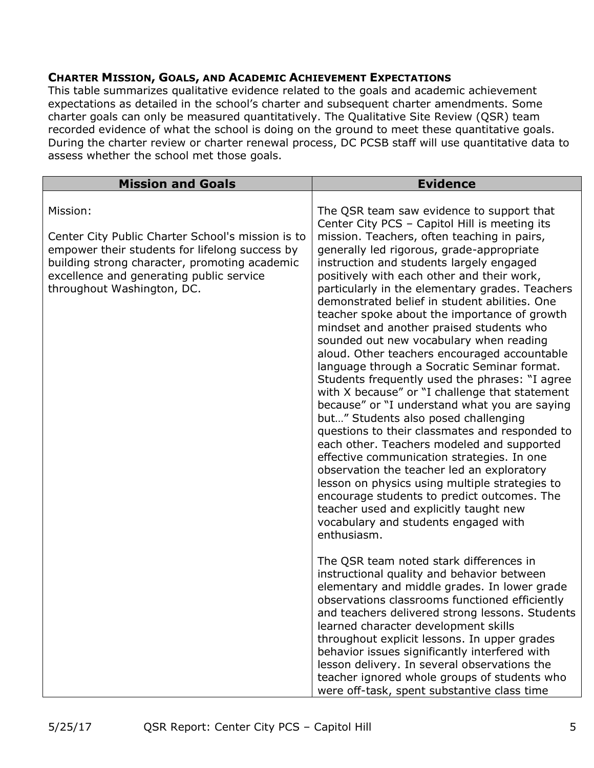#### **CHARTER MISSION, GOALS, AND ACADEMIC ACHIEVEMENT EXPECTATIONS**

This table summarizes qualitative evidence related to the goals and academic achievement expectations as detailed in the school's charter and subsequent charter amendments. Some charter goals can only be measured quantitatively. The Qualitative Site Review (QSR) team recorded evidence of what the school is doing on the ground to meet these quantitative goals. During the charter review or charter renewal process, DC PCSB staff will use quantitative data to assess whether the school met those goals.

| <b>Mission and Goals</b>                                                                                                                                                                                                       | <b>Evidence</b>                                                                                                                                                                                                                                                                                                                                                                                                                                                                                                                                                                                                                                                                                                                                                                                                                                                                                                                                                                                                                                                                                                         |
|--------------------------------------------------------------------------------------------------------------------------------------------------------------------------------------------------------------------------------|-------------------------------------------------------------------------------------------------------------------------------------------------------------------------------------------------------------------------------------------------------------------------------------------------------------------------------------------------------------------------------------------------------------------------------------------------------------------------------------------------------------------------------------------------------------------------------------------------------------------------------------------------------------------------------------------------------------------------------------------------------------------------------------------------------------------------------------------------------------------------------------------------------------------------------------------------------------------------------------------------------------------------------------------------------------------------------------------------------------------------|
| Mission:                                                                                                                                                                                                                       | The QSR team saw evidence to support that<br>Center City PCS - Capitol Hill is meeting its                                                                                                                                                                                                                                                                                                                                                                                                                                                                                                                                                                                                                                                                                                                                                                                                                                                                                                                                                                                                                              |
| Center City Public Charter School's mission is to<br>empower their students for lifelong success by<br>building strong character, promoting academic<br>excellence and generating public service<br>throughout Washington, DC. | mission. Teachers, often teaching in pairs,<br>generally led rigorous, grade-appropriate<br>instruction and students largely engaged<br>positively with each other and their work,<br>particularly in the elementary grades. Teachers<br>demonstrated belief in student abilities. One<br>teacher spoke about the importance of growth<br>mindset and another praised students who<br>sounded out new vocabulary when reading<br>aloud. Other teachers encouraged accountable<br>language through a Socratic Seminar format.<br>Students frequently used the phrases: "I agree<br>with X because" or "I challenge that statement<br>because" or "I understand what you are saying<br>but" Students also posed challenging<br>questions to their classmates and responded to<br>each other. Teachers modeled and supported<br>effective communication strategies. In one<br>observation the teacher led an exploratory<br>lesson on physics using multiple strategies to<br>encourage students to predict outcomes. The<br>teacher used and explicitly taught new<br>vocabulary and students engaged with<br>enthusiasm. |
|                                                                                                                                                                                                                                | The QSR team noted stark differences in<br>instructional quality and behavior between<br>elementary and middle grades. In lower grade<br>observations classrooms functioned efficiently<br>and teachers delivered strong lessons. Students<br>learned character development skills<br>throughout explicit lessons. In upper grades<br>behavior issues significantly interfered with<br>lesson delivery. In several observations the<br>teacher ignored whole groups of students who<br>were off-task, spent substantive class time                                                                                                                                                                                                                                                                                                                                                                                                                                                                                                                                                                                      |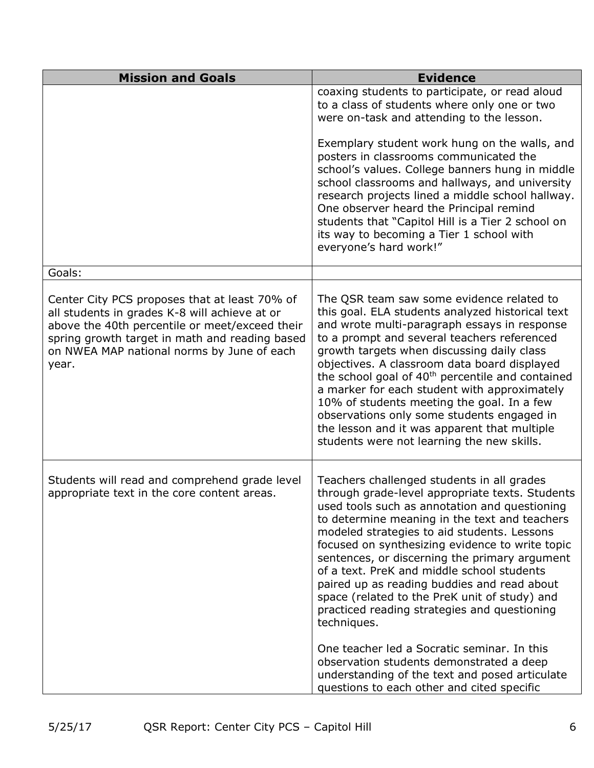| <b>Mission and Goals</b>                                                                                                                                                                                                                                  | <b>Evidence</b>                                                                                                                                                                                                                                                                                                                                                                                                                                                                                                                                                                                                                                                                                                                                            |
|-----------------------------------------------------------------------------------------------------------------------------------------------------------------------------------------------------------------------------------------------------------|------------------------------------------------------------------------------------------------------------------------------------------------------------------------------------------------------------------------------------------------------------------------------------------------------------------------------------------------------------------------------------------------------------------------------------------------------------------------------------------------------------------------------------------------------------------------------------------------------------------------------------------------------------------------------------------------------------------------------------------------------------|
|                                                                                                                                                                                                                                                           | coaxing students to participate, or read aloud<br>to a class of students where only one or two<br>were on-task and attending to the lesson.                                                                                                                                                                                                                                                                                                                                                                                                                                                                                                                                                                                                                |
|                                                                                                                                                                                                                                                           | Exemplary student work hung on the walls, and<br>posters in classrooms communicated the<br>school's values. College banners hung in middle<br>school classrooms and hallways, and university<br>research projects lined a middle school hallway.<br>One observer heard the Principal remind<br>students that "Capitol Hill is a Tier 2 school on<br>its way to becoming a Tier 1 school with<br>everyone's hard work!"                                                                                                                                                                                                                                                                                                                                     |
| Goals:                                                                                                                                                                                                                                                    |                                                                                                                                                                                                                                                                                                                                                                                                                                                                                                                                                                                                                                                                                                                                                            |
| Center City PCS proposes that at least 70% of<br>all students in grades K-8 will achieve at or<br>above the 40th percentile or meet/exceed their<br>spring growth target in math and reading based<br>on NWEA MAP national norms by June of each<br>year. | The QSR team saw some evidence related to<br>this goal. ELA students analyzed historical text<br>and wrote multi-paragraph essays in response<br>to a prompt and several teachers referenced<br>growth targets when discussing daily class<br>objectives. A classroom data board displayed<br>the school goal of 40 <sup>th</sup> percentile and contained<br>a marker for each student with approximately<br>10% of students meeting the goal. In a few<br>observations only some students engaged in<br>the lesson and it was apparent that multiple<br>students were not learning the new skills.                                                                                                                                                       |
| Students will read and comprehend grade level<br>appropriate text in the core content areas.                                                                                                                                                              | Teachers challenged students in all grades<br>through grade-level appropriate texts. Students<br>used tools such as annotation and questioning<br>to determine meaning in the text and teachers<br>modeled strategies to aid students. Lessons<br>focused on synthesizing evidence to write topic<br>sentences, or discerning the primary argument<br>of a text. PreK and middle school students<br>paired up as reading buddies and read about<br>space (related to the PreK unit of study) and<br>practiced reading strategies and questioning<br>techniques.<br>One teacher led a Socratic seminar. In this<br>observation students demonstrated a deep<br>understanding of the text and posed articulate<br>questions to each other and cited specific |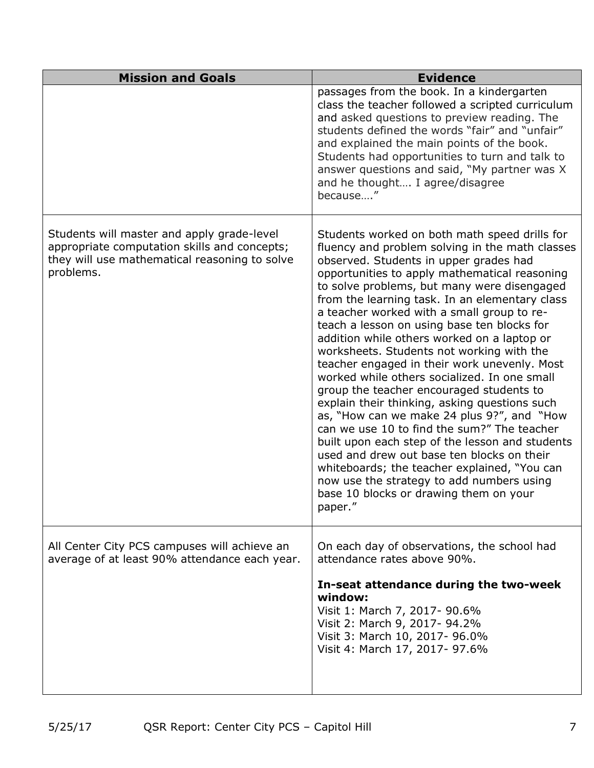| <b>Mission and Goals</b>                                                                                                                                 | <b>Evidence</b>                                                                                                                                                                                                                                                                                                                                                                                                                                                                                                                                                                                                                                                                                                                                                                                                                                                                                                                                                                                                                    |
|----------------------------------------------------------------------------------------------------------------------------------------------------------|------------------------------------------------------------------------------------------------------------------------------------------------------------------------------------------------------------------------------------------------------------------------------------------------------------------------------------------------------------------------------------------------------------------------------------------------------------------------------------------------------------------------------------------------------------------------------------------------------------------------------------------------------------------------------------------------------------------------------------------------------------------------------------------------------------------------------------------------------------------------------------------------------------------------------------------------------------------------------------------------------------------------------------|
|                                                                                                                                                          | passages from the book. In a kindergarten<br>class the teacher followed a scripted curriculum<br>and asked questions to preview reading. The<br>students defined the words "fair" and "unfair"<br>and explained the main points of the book.<br>Students had opportunities to turn and talk to<br>answer questions and said, "My partner was X<br>and he thought I agree/disagree<br>because"                                                                                                                                                                                                                                                                                                                                                                                                                                                                                                                                                                                                                                      |
| Students will master and apply grade-level<br>appropriate computation skills and concepts;<br>they will use mathematical reasoning to solve<br>problems. | Students worked on both math speed drills for<br>fluency and problem solving in the math classes<br>observed. Students in upper grades had<br>opportunities to apply mathematical reasoning<br>to solve problems, but many were disengaged<br>from the learning task. In an elementary class<br>a teacher worked with a small group to re-<br>teach a lesson on using base ten blocks for<br>addition while others worked on a laptop or<br>worksheets. Students not working with the<br>teacher engaged in their work unevenly. Most<br>worked while others socialized. In one small<br>group the teacher encouraged students to<br>explain their thinking, asking questions such<br>as, "How can we make 24 plus 9?", and "How<br>can we use 10 to find the sum?" The teacher<br>built upon each step of the lesson and students<br>used and drew out base ten blocks on their<br>whiteboards; the teacher explained, "You can<br>now use the strategy to add numbers using<br>base 10 blocks or drawing them on your<br>paper." |
| All Center City PCS campuses will achieve an<br>average of at least 90% attendance each year.                                                            | On each day of observations, the school had<br>attendance rates above 90%.<br>In-seat attendance during the two-week<br>window:<br>Visit 1: March 7, 2017- 90.6%<br>Visit 2: March 9, 2017- 94.2%<br>Visit 3: March 10, 2017- 96.0%<br>Visit 4: March 17, 2017- 97.6%                                                                                                                                                                                                                                                                                                                                                                                                                                                                                                                                                                                                                                                                                                                                                              |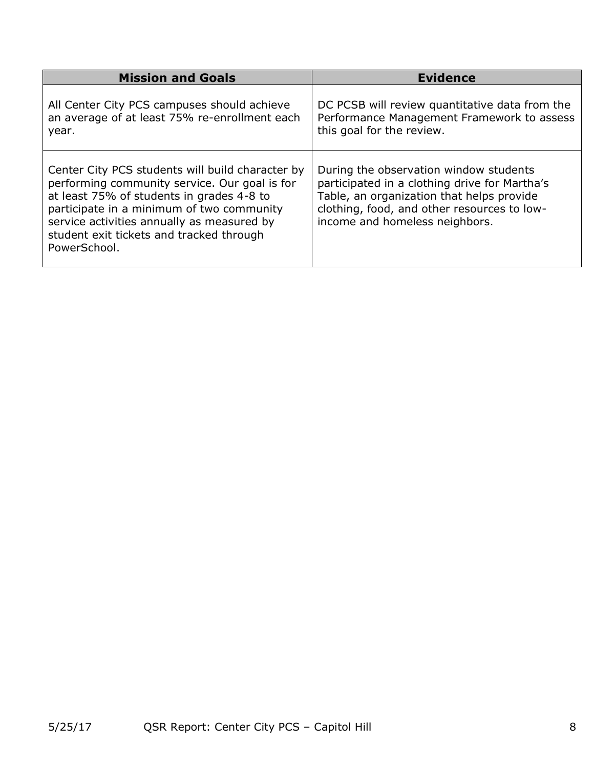| <b>Mission and Goals</b>                                                                                                                                                                                                                                                                              | <b>Evidence</b>                                                                                                                                                                                                       |
|-------------------------------------------------------------------------------------------------------------------------------------------------------------------------------------------------------------------------------------------------------------------------------------------------------|-----------------------------------------------------------------------------------------------------------------------------------------------------------------------------------------------------------------------|
| All Center City PCS campuses should achieve<br>an average of at least 75% re-enrollment each<br>year.                                                                                                                                                                                                 | DC PCSB will review quantitative data from the<br>Performance Management Framework to assess<br>this goal for the review.                                                                                             |
| Center City PCS students will build character by<br>performing community service. Our goal is for<br>at least 75% of students in grades 4-8 to<br>participate in a minimum of two community<br>service activities annually as measured by<br>student exit tickets and tracked through<br>PowerSchool. | During the observation window students<br>participated in a clothing drive for Martha's<br>Table, an organization that helps provide<br>clothing, food, and other resources to low-<br>income and homeless neighbors. |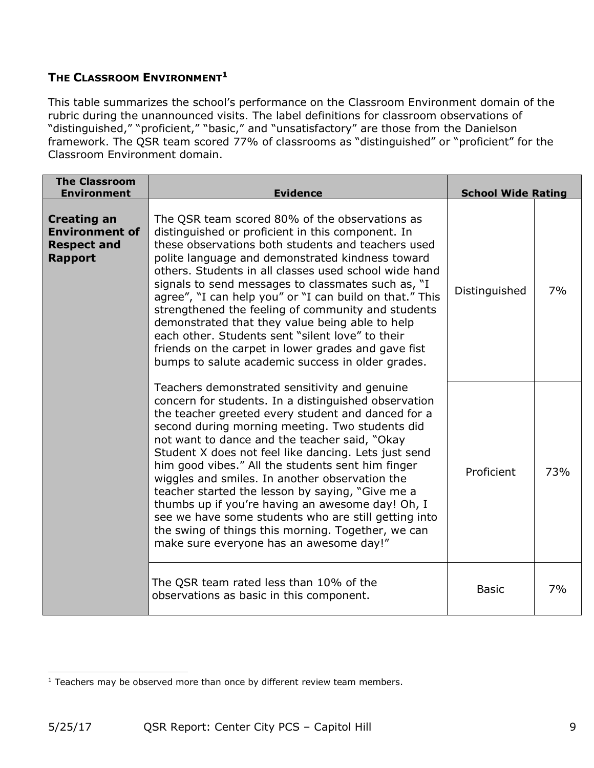### **THE CLASSROOM ENVIRONMENT<sup>1</sup>**

This table summarizes the school's performance on the Classroom Environment domain of the rubric during the unannounced visits. The label definitions for classroom observations of "distinguished," "proficient," "basic," and "unsatisfactory" are those from the Danielson framework. The QSR team scored 77% of classrooms as "distinguished" or "proficient" for the Classroom Environment domain.

| <b>The Classroom</b><br><b>Environment</b>                                          | <b>Evidence</b>                                                                                                                                                                                                                                                                                                                                                                                                                                                                                                                                                                                                                                                                                 | <b>School Wide Rating</b> |     |
|-------------------------------------------------------------------------------------|-------------------------------------------------------------------------------------------------------------------------------------------------------------------------------------------------------------------------------------------------------------------------------------------------------------------------------------------------------------------------------------------------------------------------------------------------------------------------------------------------------------------------------------------------------------------------------------------------------------------------------------------------------------------------------------------------|---------------------------|-----|
| <b>Creating an</b><br><b>Environment of</b><br><b>Respect and</b><br><b>Rapport</b> | The QSR team scored 80% of the observations as<br>distinguished or proficient in this component. In<br>these observations both students and teachers used<br>polite language and demonstrated kindness toward<br>others. Students in all classes used school wide hand<br>signals to send messages to classmates such as, "I<br>agree", "I can help you" or "I can build on that." This<br>strengthened the feeling of community and students<br>demonstrated that they value being able to help<br>each other. Students sent "silent love" to their<br>friends on the carpet in lower grades and gave fist<br>bumps to salute academic success in older grades.                                | Distinguished             | 7%  |
|                                                                                     | Teachers demonstrated sensitivity and genuine<br>concern for students. In a distinguished observation<br>the teacher greeted every student and danced for a<br>second during morning meeting. Two students did<br>not want to dance and the teacher said, "Okay<br>Student X does not feel like dancing. Lets just send<br>him good vibes." All the students sent him finger<br>wiggles and smiles. In another observation the<br>teacher started the lesson by saying, "Give me a<br>thumbs up if you're having an awesome day! Oh, I<br>see we have some students who are still getting into<br>the swing of things this morning. Together, we can<br>make sure everyone has an awesome day!" | Proficient                | 73% |
|                                                                                     | The QSR team rated less than 10% of the<br>observations as basic in this component.                                                                                                                                                                                                                                                                                                                                                                                                                                                                                                                                                                                                             | <b>Basic</b>              | 7%  |

 $\overline{\phantom{a}}$ <sup>1</sup> Teachers may be observed more than once by different review team members.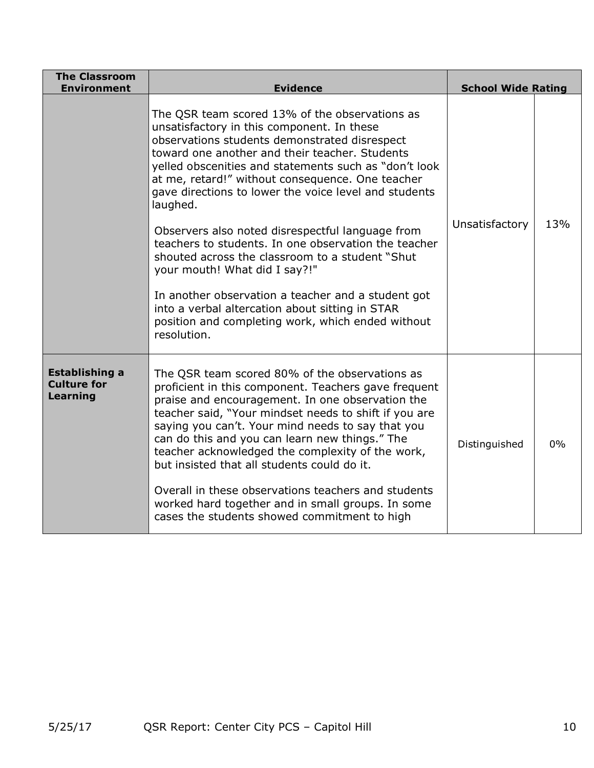| <b>The Classroom</b><br><b>Environment</b>              | <b>Evidence</b>                                                                                                                                                                                                                                                                                                                                                                                                                                                                                                                                                                                                                                                                                                                                                | <b>School Wide Rating</b> |     |
|---------------------------------------------------------|----------------------------------------------------------------------------------------------------------------------------------------------------------------------------------------------------------------------------------------------------------------------------------------------------------------------------------------------------------------------------------------------------------------------------------------------------------------------------------------------------------------------------------------------------------------------------------------------------------------------------------------------------------------------------------------------------------------------------------------------------------------|---------------------------|-----|
|                                                         | The QSR team scored 13% of the observations as<br>unsatisfactory in this component. In these<br>observations students demonstrated disrespect<br>toward one another and their teacher. Students<br>yelled obscenities and statements such as "don't look<br>at me, retard!" without consequence. One teacher<br>gave directions to lower the voice level and students<br>laughed.<br>Observers also noted disrespectful language from<br>teachers to students. In one observation the teacher<br>shouted across the classroom to a student "Shut<br>your mouth! What did I say?!"<br>In another observation a teacher and a student got<br>into a verbal altercation about sitting in STAR<br>position and completing work, which ended without<br>resolution. | Unsatisfactory            | 13% |
| <b>Establishing a</b><br><b>Culture for</b><br>Learning | The QSR team scored 80% of the observations as<br>proficient in this component. Teachers gave frequent<br>praise and encouragement. In one observation the<br>teacher said, "Your mindset needs to shift if you are<br>saying you can't. Your mind needs to say that you<br>can do this and you can learn new things." The<br>teacher acknowledged the complexity of the work,<br>but insisted that all students could do it.<br>Overall in these observations teachers and students<br>worked hard together and in small groups. In some<br>cases the students showed commitment to high                                                                                                                                                                      | Distinguished             | 0%  |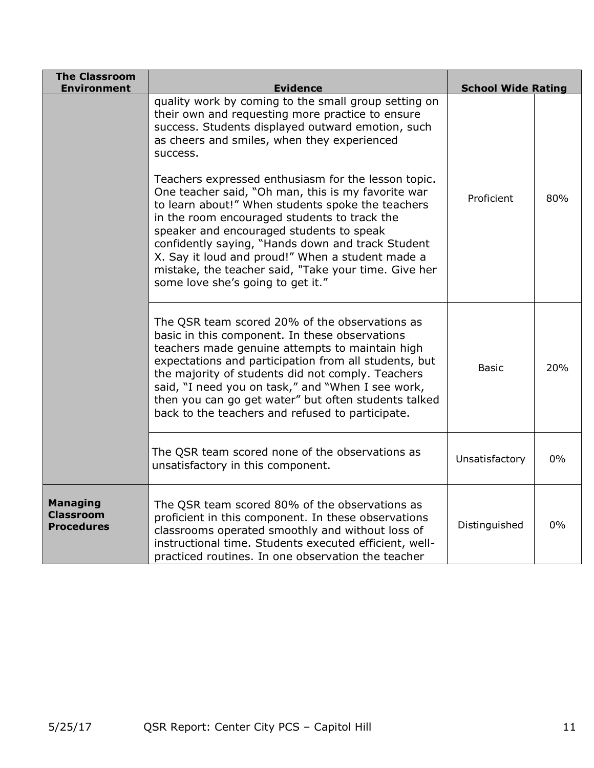| <b>The Classroom</b><br><b>Environment</b>               | <b>Evidence</b>                                                                                                                                                                                                                                                                                                                                                                                                                                                                                                                                                                                 | <b>School Wide Rating</b> |       |
|----------------------------------------------------------|-------------------------------------------------------------------------------------------------------------------------------------------------------------------------------------------------------------------------------------------------------------------------------------------------------------------------------------------------------------------------------------------------------------------------------------------------------------------------------------------------------------------------------------------------------------------------------------------------|---------------------------|-------|
|                                                          | quality work by coming to the small group setting on<br>their own and requesting more practice to ensure<br>success. Students displayed outward emotion, such<br>as cheers and smiles, when they experienced<br>success.<br>Teachers expressed enthusiasm for the lesson topic.<br>One teacher said, "Oh man, this is my favorite war<br>to learn about!" When students spoke the teachers<br>in the room encouraged students to track the<br>speaker and encouraged students to speak<br>confidently saying, "Hands down and track Student<br>X. Say it loud and proud!" When a student made a | Proficient                | 80%   |
|                                                          | mistake, the teacher said, "Take your time. Give her<br>some love she's going to get it."                                                                                                                                                                                                                                                                                                                                                                                                                                                                                                       |                           |       |
|                                                          | The QSR team scored 20% of the observations as<br>basic in this component. In these observations<br>teachers made genuine attempts to maintain high<br>expectations and participation from all students, but<br>the majority of students did not comply. Teachers<br>said, "I need you on task," and "When I see work,<br>then you can go get water" but often students talked<br>back to the teachers and refused to participate.                                                                                                                                                              | <b>Basic</b>              | 20%   |
|                                                          | The QSR team scored none of the observations as<br>unsatisfactory in this component.                                                                                                                                                                                                                                                                                                                                                                                                                                                                                                            | Unsatisfactory            | $0\%$ |
| <b>Managing</b><br><b>Classroom</b><br><b>Procedures</b> | The QSR team scored 80% of the observations as<br>proficient in this component. In these observations<br>classrooms operated smoothly and without loss of<br>instructional time. Students executed efficient, well-<br>practiced routines. In one observation the teacher                                                                                                                                                                                                                                                                                                                       | Distinguished             | $0\%$ |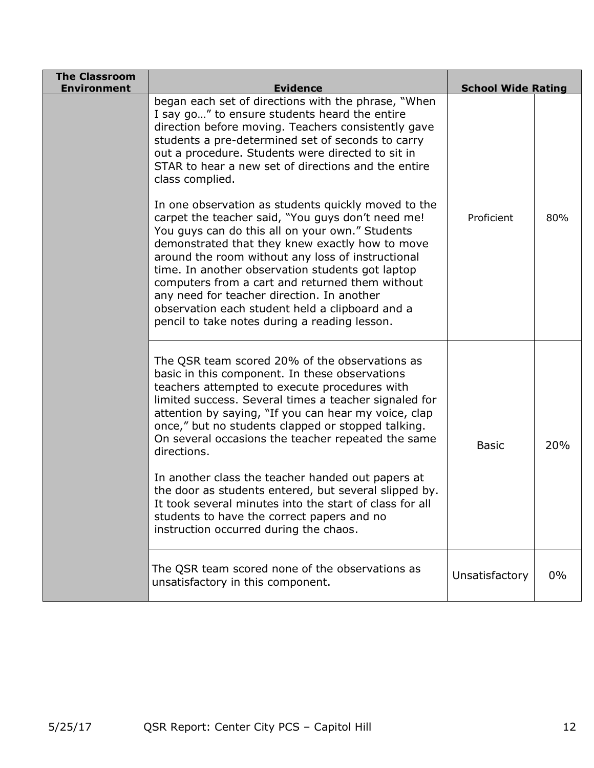| <b>The Classroom</b><br><b>Environment</b> | <b>Evidence</b>                                                                                                                                                                                                                                                                                                                                                                                                                                                                                                                                                                                                                                                | <b>School Wide Rating</b> |       |
|--------------------------------------------|----------------------------------------------------------------------------------------------------------------------------------------------------------------------------------------------------------------------------------------------------------------------------------------------------------------------------------------------------------------------------------------------------------------------------------------------------------------------------------------------------------------------------------------------------------------------------------------------------------------------------------------------------------------|---------------------------|-------|
|                                            | began each set of directions with the phrase, "When<br>I say go" to ensure students heard the entire<br>direction before moving. Teachers consistently gave<br>students a pre-determined set of seconds to carry<br>out a procedure. Students were directed to sit in<br>STAR to hear a new set of directions and the entire<br>class complied.                                                                                                                                                                                                                                                                                                                |                           |       |
|                                            | In one observation as students quickly moved to the<br>carpet the teacher said, "You guys don't need me!<br>You guys can do this all on your own." Students<br>demonstrated that they knew exactly how to move<br>around the room without any loss of instructional<br>time. In another observation students got laptop<br>computers from a cart and returned them without<br>any need for teacher direction. In another<br>observation each student held a clipboard and a<br>pencil to take notes during a reading lesson.                                                                                                                                   | Proficient                | 80%   |
|                                            | The QSR team scored 20% of the observations as<br>basic in this component. In these observations<br>teachers attempted to execute procedures with<br>limited success. Several times a teacher signaled for<br>attention by saying, "If you can hear my voice, clap<br>once," but no students clapped or stopped talking.<br>On several occasions the teacher repeated the same<br>directions.<br>In another class the teacher handed out papers at<br>the door as students entered, but several slipped by.<br>It took several minutes into the start of class for all<br>students to have the correct papers and no<br>instruction occurred during the chaos. | <b>Basic</b>              | 20%   |
|                                            | The QSR team scored none of the observations as<br>unsatisfactory in this component.                                                                                                                                                                                                                                                                                                                                                                                                                                                                                                                                                                           | Unsatisfactory            | $0\%$ |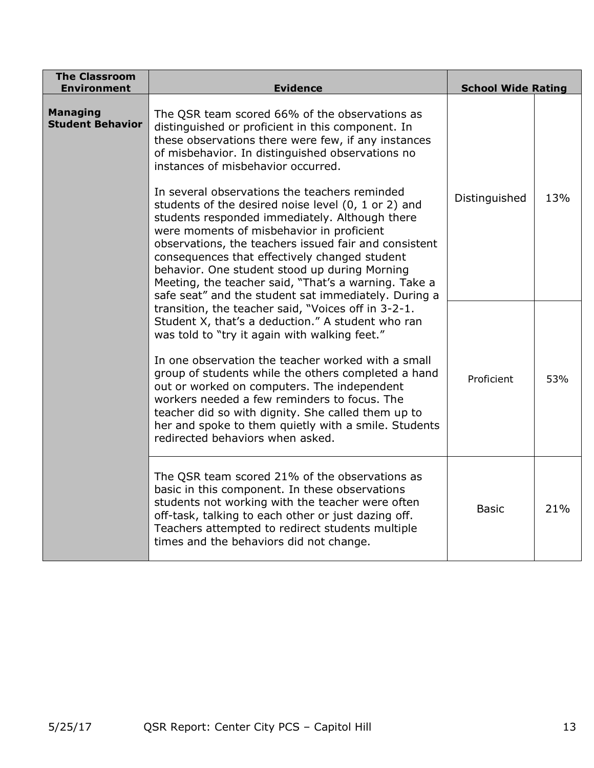| <b>The Classroom</b><br><b>Environment</b> | <b>Evidence</b>                                                                                                                                                                                                                                                                                                                                                                                                                                                                                                         | <b>School Wide Rating</b> |     |
|--------------------------------------------|-------------------------------------------------------------------------------------------------------------------------------------------------------------------------------------------------------------------------------------------------------------------------------------------------------------------------------------------------------------------------------------------------------------------------------------------------------------------------------------------------------------------------|---------------------------|-----|
| <b>Managing</b><br><b>Student Behavior</b> | The QSR team scored 66% of the observations as<br>distinguished or proficient in this component. In<br>these observations there were few, if any instances<br>of misbehavior. In distinguished observations no<br>instances of misbehavior occurred.                                                                                                                                                                                                                                                                    |                           |     |
|                                            | In several observations the teachers reminded<br>students of the desired noise level (0, 1 or 2) and<br>students responded immediately. Although there<br>were moments of misbehavior in proficient<br>observations, the teachers issued fair and consistent<br>consequences that effectively changed student<br>behavior. One student stood up during Morning<br>Meeting, the teacher said, "That's a warning. Take a<br>safe seat" and the student sat immediately. During a                                          | Distinguished             | 13% |
|                                            | transition, the teacher said, "Voices off in 3-2-1.<br>Student X, that's a deduction." A student who ran<br>was told to "try it again with walking feet."<br>In one observation the teacher worked with a small<br>group of students while the others completed a hand<br>out or worked on computers. The independent<br>workers needed a few reminders to focus. The<br>teacher did so with dignity. She called them up to<br>her and spoke to them quietly with a smile. Students<br>redirected behaviors when asked. | Proficient                | 53% |
|                                            | The QSR team scored 21% of the observations as<br>basic in this component. In these observations<br>students not working with the teacher were often<br>off-task, talking to each other or just dazing off.<br>Teachers attempted to redirect students multiple<br>times and the behaviors did not change.                                                                                                                                                                                                              | <b>Basic</b>              | 21% |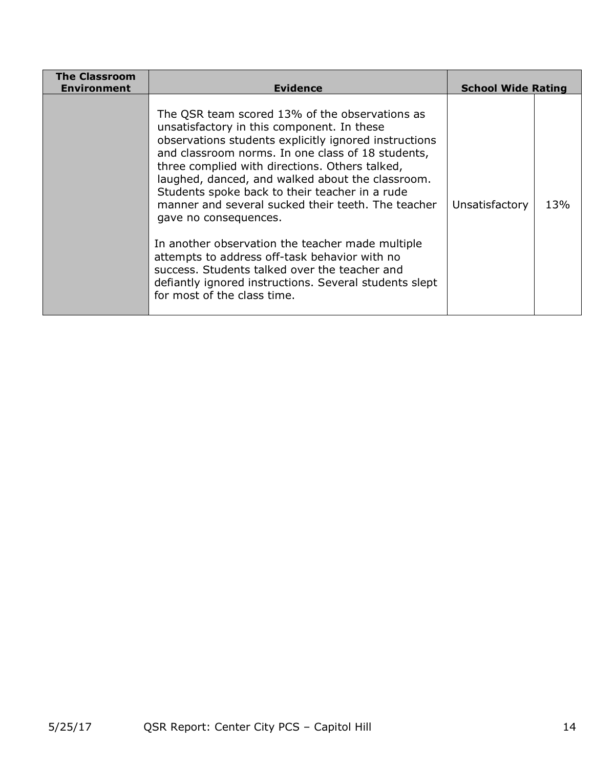| <b>The Classroom</b><br>Environment | <b>Evidence</b>                                                                                                                                                                                                                                                                                                                                                                                                                                                                                                                                                                                                                                                                                  | <b>School Wide Rating</b> |     |
|-------------------------------------|--------------------------------------------------------------------------------------------------------------------------------------------------------------------------------------------------------------------------------------------------------------------------------------------------------------------------------------------------------------------------------------------------------------------------------------------------------------------------------------------------------------------------------------------------------------------------------------------------------------------------------------------------------------------------------------------------|---------------------------|-----|
|                                     | The QSR team scored 13% of the observations as<br>unsatisfactory in this component. In these<br>observations students explicitly ignored instructions<br>and classroom norms. In one class of 18 students,<br>three complied with directions. Others talked,<br>laughed, danced, and walked about the classroom.<br>Students spoke back to their teacher in a rude<br>manner and several sucked their teeth. The teacher<br>gave no consequences.<br>In another observation the teacher made multiple<br>attempts to address off-task behavior with no<br>success. Students talked over the teacher and<br>defiantly ignored instructions. Several students slept<br>for most of the class time. | Unsatisfactory            | 13% |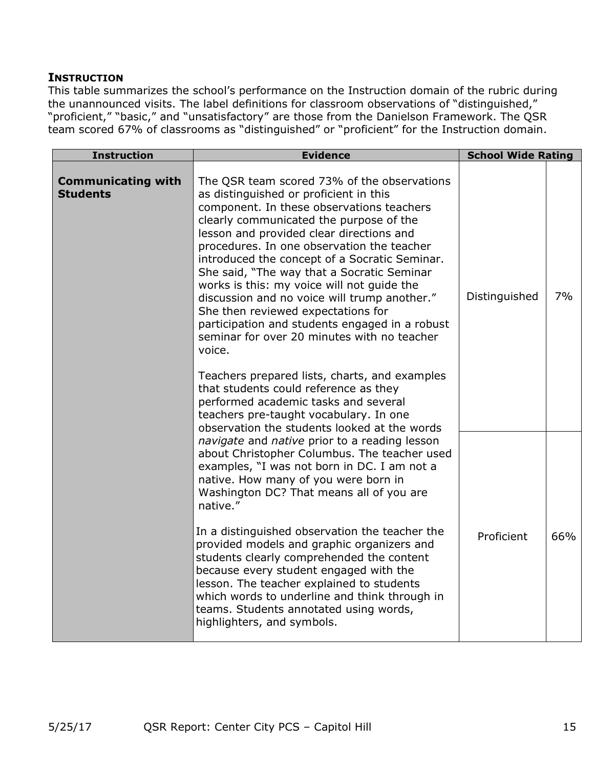#### **INSTRUCTION**

This table summarizes the school's performance on the Instruction domain of the rubric during the unannounced visits. The label definitions for classroom observations of "distinguished," "proficient," "basic," and "unsatisfactory" are those from the Danielson Framework. The QSR team scored 67% of classrooms as "distinguished" or "proficient" for the Instruction domain.

| <b>Instruction</b>                           | <b>Evidence</b>                                                                                                                                                                                                                                                                                                                                                                                                                                                                                                                                                                                                                                                                                                                                                                                   | <b>School Wide Rating</b> |     |
|----------------------------------------------|---------------------------------------------------------------------------------------------------------------------------------------------------------------------------------------------------------------------------------------------------------------------------------------------------------------------------------------------------------------------------------------------------------------------------------------------------------------------------------------------------------------------------------------------------------------------------------------------------------------------------------------------------------------------------------------------------------------------------------------------------------------------------------------------------|---------------------------|-----|
| <b>Communicating with</b><br><b>Students</b> | The QSR team scored 73% of the observations<br>as distinguished or proficient in this<br>component. In these observations teachers<br>clearly communicated the purpose of the<br>lesson and provided clear directions and<br>procedures. In one observation the teacher<br>introduced the concept of a Socratic Seminar.<br>She said, "The way that a Socratic Seminar<br>works is this: my voice will not guide the<br>discussion and no voice will trump another."<br>She then reviewed expectations for<br>participation and students engaged in a robust<br>seminar for over 20 minutes with no teacher<br>voice.<br>Teachers prepared lists, charts, and examples<br>that students could reference as they<br>performed academic tasks and several<br>teachers pre-taught vocabulary. In one | Distinguished             | 7%  |
|                                              | observation the students looked at the words<br>navigate and native prior to a reading lesson<br>about Christopher Columbus. The teacher used<br>examples, "I was not born in DC. I am not a<br>native. How many of you were born in<br>Washington DC? That means all of you are<br>native."<br>In a distinguished observation the teacher the<br>provided models and graphic organizers and<br>students clearly comprehended the content<br>because every student engaged with the<br>lesson. The teacher explained to students<br>which words to underline and think through in<br>teams. Students annotated using words,<br>highlighters, and symbols.                                                                                                                                         | Proficient                | 66% |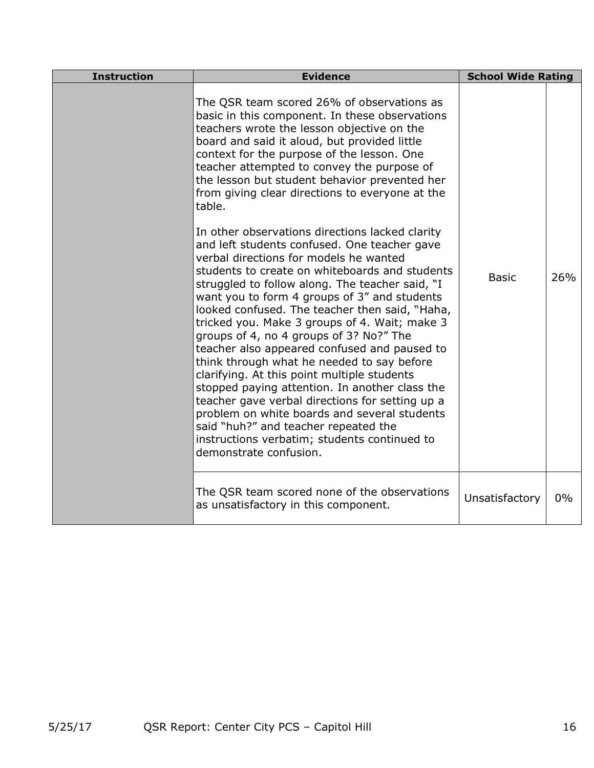| <b>Instruction</b> | <b>Evidence</b>                                                                                                                                                                                                                                                                                                                                                                                                                                                                                                                                                                                                                                                                                                                                                                                                                                                  | <b>School Wide Rating</b> |       |
|--------------------|------------------------------------------------------------------------------------------------------------------------------------------------------------------------------------------------------------------------------------------------------------------------------------------------------------------------------------------------------------------------------------------------------------------------------------------------------------------------------------------------------------------------------------------------------------------------------------------------------------------------------------------------------------------------------------------------------------------------------------------------------------------------------------------------------------------------------------------------------------------|---------------------------|-------|
|                    | The QSR team scored 26% of observations as<br>basic in this component. In these observations<br>teachers wrote the lesson objective on the<br>board and said it aloud, but provided little<br>context for the purpose of the lesson. One<br>teacher attempted to convey the purpose of<br>the lesson but student behavior prevented her<br>from giving clear directions to everyone at the<br>table.                                                                                                                                                                                                                                                                                                                                                                                                                                                             |                           |       |
|                    | In other observations directions lacked clarity<br>and left students confused. One teacher gave<br>verbal directions for models he wanted<br>students to create on whiteboards and students<br>struggled to follow along. The teacher said, "I<br>want you to form 4 groups of 3" and students<br>looked confused. The teacher then said, "Haha,<br>tricked you. Make 3 groups of 4. Wait; make 3<br>groups of 4, no 4 groups of 3? No?" The<br>teacher also appeared confused and paused to<br>think through what he needed to say before<br>clarifying. At this point multiple students<br>stopped paying attention. In another class the<br>teacher gave verbal directions for setting up a<br>problem on white boards and several students<br>said "huh?" and teacher repeated the<br>instructions verbatim; students continued to<br>demonstrate confusion. | <b>Basic</b>              | 26%   |
|                    | The QSR team scored none of the observations<br>as unsatisfactory in this component.                                                                                                                                                                                                                                                                                                                                                                                                                                                                                                                                                                                                                                                                                                                                                                             | Unsatisfactory            | $0\%$ |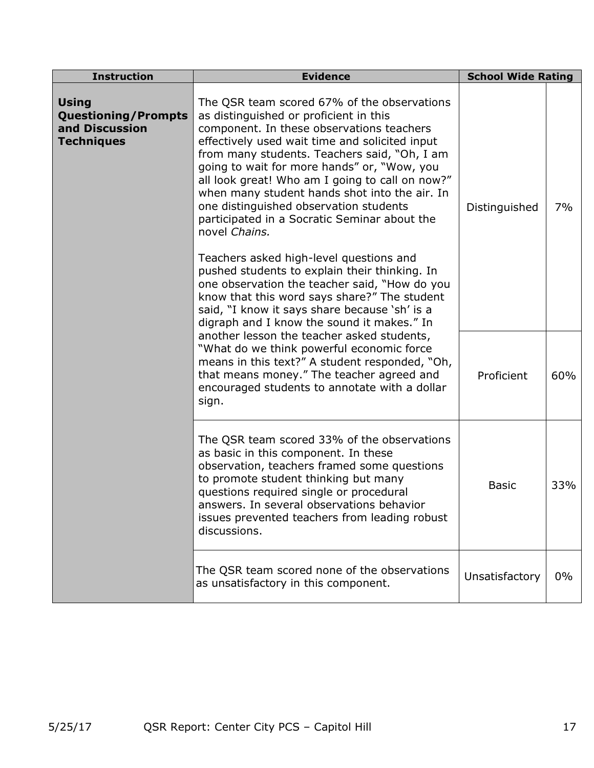| <b>Instruction</b>                                                                                                                                                                                                                                                                       | <b>Evidence</b>                                                                                                                                                                                                                                                                                                                                                                                                                                                                                    | <b>School Wide Rating</b> |       |
|------------------------------------------------------------------------------------------------------------------------------------------------------------------------------------------------------------------------------------------------------------------------------------------|----------------------------------------------------------------------------------------------------------------------------------------------------------------------------------------------------------------------------------------------------------------------------------------------------------------------------------------------------------------------------------------------------------------------------------------------------------------------------------------------------|---------------------------|-------|
| <b>Using</b><br><b>Questioning/Prompts</b><br>and Discussion<br><b>Techniques</b>                                                                                                                                                                                                        | The QSR team scored 67% of the observations<br>as distinguished or proficient in this<br>component. In these observations teachers<br>effectively used wait time and solicited input<br>from many students. Teachers said, "Oh, I am<br>going to wait for more hands" or, "Wow, you<br>all look great! Who am I going to call on now?"<br>when many student hands shot into the air. In<br>one distinguished observation students<br>participated in a Socratic Seminar about the<br>novel Chains. |                           | 7%    |
| Teachers asked high-level questions and<br>pushed students to explain their thinking. In<br>one observation the teacher said, "How do you<br>know that this word says share?" The student<br>said, "I know it says share because 'sh' is a<br>digraph and I know the sound it makes." In |                                                                                                                                                                                                                                                                                                                                                                                                                                                                                                    |                           |       |
|                                                                                                                                                                                                                                                                                          | another lesson the teacher asked students,<br>"What do we think powerful economic force<br>means in this text?" A student responded, "Oh,<br>that means money." The teacher agreed and<br>encouraged students to annotate with a dollar<br>sign.                                                                                                                                                                                                                                                   |                           | 60%   |
|                                                                                                                                                                                                                                                                                          | The QSR team scored 33% of the observations<br>as basic in this component. In these<br>observation, teachers framed some questions<br>to promote student thinking but many<br>questions required single or procedural<br>answers. In several observations behavior<br>issues prevented teachers from leading robust<br>discussions.                                                                                                                                                                | <b>Basic</b>              | 33%   |
|                                                                                                                                                                                                                                                                                          | The QSR team scored none of the observations<br>as unsatisfactory in this component.                                                                                                                                                                                                                                                                                                                                                                                                               | Unsatisfactory            | $0\%$ |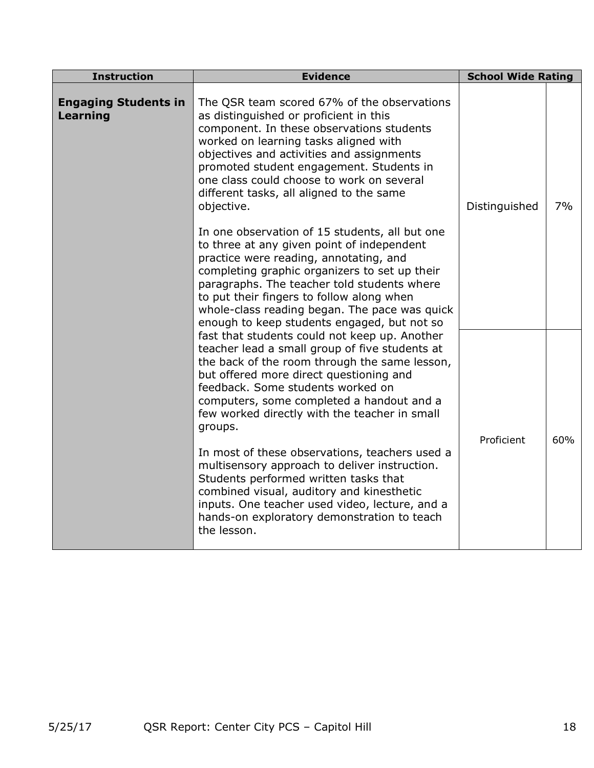| <b>Instruction</b>                                                                                                                                                                                                                                                                                                                                                                                                                                                                                                                                                                                                                                                                                                                                                                                                                                                                                                                                                                       | <b>Evidence</b>                                                                                                                                                                                                                                                                                                                                                             | <b>School Wide Rating</b> |    |
|------------------------------------------------------------------------------------------------------------------------------------------------------------------------------------------------------------------------------------------------------------------------------------------------------------------------------------------------------------------------------------------------------------------------------------------------------------------------------------------------------------------------------------------------------------------------------------------------------------------------------------------------------------------------------------------------------------------------------------------------------------------------------------------------------------------------------------------------------------------------------------------------------------------------------------------------------------------------------------------|-----------------------------------------------------------------------------------------------------------------------------------------------------------------------------------------------------------------------------------------------------------------------------------------------------------------------------------------------------------------------------|---------------------------|----|
| <b>Engaging Students in</b><br>Learning                                                                                                                                                                                                                                                                                                                                                                                                                                                                                                                                                                                                                                                                                                                                                                                                                                                                                                                                                  | The QSR team scored 67% of the observations<br>as distinguished or proficient in this<br>component. In these observations students<br>worked on learning tasks aligned with<br>objectives and activities and assignments<br>promoted student engagement. Students in<br>one class could choose to work on several<br>different tasks, all aligned to the same<br>objective. | Distinguished             | 7% |
| In one observation of 15 students, all but one<br>to three at any given point of independent<br>practice were reading, annotating, and<br>completing graphic organizers to set up their<br>paragraphs. The teacher told students where<br>to put their fingers to follow along when<br>enough to keep students engaged, but not so<br>fast that students could not keep up. Another<br>teacher lead a small group of five students at<br>the back of the room through the same lesson,<br>but offered more direct questioning and<br>feedback. Some students worked on<br>computers, some completed a handout and a<br>few worked directly with the teacher in small<br>groups.<br>In most of these observations, teachers used a<br>multisensory approach to deliver instruction.<br>Students performed written tasks that<br>combined visual, auditory and kinesthetic<br>inputs. One teacher used video, lecture, and a<br>hands-on exploratory demonstration to teach<br>the lesson. | whole-class reading began. The pace was quick                                                                                                                                                                                                                                                                                                                               |                           |    |
|                                                                                                                                                                                                                                                                                                                                                                                                                                                                                                                                                                                                                                                                                                                                                                                                                                                                                                                                                                                          | Proficient                                                                                                                                                                                                                                                                                                                                                                  | 60%                       |    |
|                                                                                                                                                                                                                                                                                                                                                                                                                                                                                                                                                                                                                                                                                                                                                                                                                                                                                                                                                                                          |                                                                                                                                                                                                                                                                                                                                                                             |                           |    |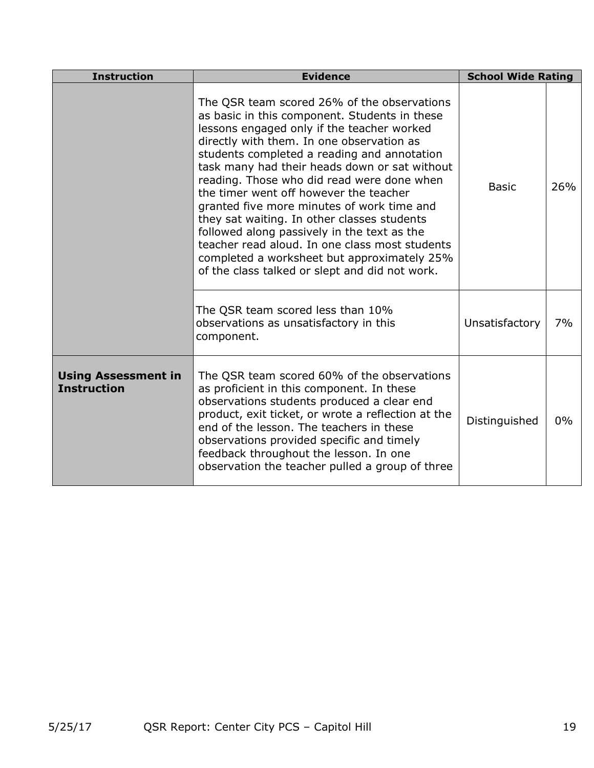| <b>Instruction</b>                               | <b>Evidence</b>                                                                                                                                                                                                                                                                                                                                                                                                                                                                                                                                                                                                                                                                | <b>School Wide Rating</b> |       |
|--------------------------------------------------|--------------------------------------------------------------------------------------------------------------------------------------------------------------------------------------------------------------------------------------------------------------------------------------------------------------------------------------------------------------------------------------------------------------------------------------------------------------------------------------------------------------------------------------------------------------------------------------------------------------------------------------------------------------------------------|---------------------------|-------|
|                                                  | The QSR team scored 26% of the observations<br>as basic in this component. Students in these<br>lessons engaged only if the teacher worked<br>directly with them. In one observation as<br>students completed a reading and annotation<br>task many had their heads down or sat without<br>reading. Those who did read were done when<br>the timer went off however the teacher<br>granted five more minutes of work time and<br>they sat waiting. In other classes students<br>followed along passively in the text as the<br>teacher read aloud. In one class most students<br>completed a worksheet but approximately 25%<br>of the class talked or slept and did not work. | <b>Basic</b>              | 26%   |
|                                                  | The QSR team scored less than 10%<br>observations as unsatisfactory in this<br>component.                                                                                                                                                                                                                                                                                                                                                                                                                                                                                                                                                                                      | Unsatisfactory            | 7%    |
| <b>Using Assessment in</b><br><b>Instruction</b> | The QSR team scored 60% of the observations<br>as proficient in this component. In these<br>observations students produced a clear end<br>product, exit ticket, or wrote a reflection at the<br>end of the lesson. The teachers in these<br>observations provided specific and timely<br>feedback throughout the lesson. In one<br>observation the teacher pulled a group of three                                                                                                                                                                                                                                                                                             | Distinguished             | $0\%$ |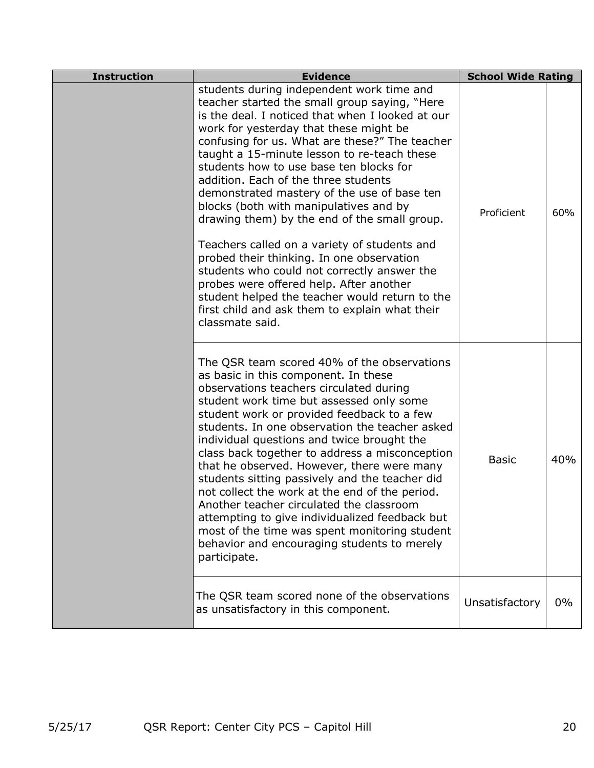| <b>Instruction</b> | <b>Evidence</b>                                                                                                                                                                                                                                                                                                                                                                                                                                                                                                                                                                                                                                                                                                                                                                                                                     | <b>School Wide Rating</b> |     |
|--------------------|-------------------------------------------------------------------------------------------------------------------------------------------------------------------------------------------------------------------------------------------------------------------------------------------------------------------------------------------------------------------------------------------------------------------------------------------------------------------------------------------------------------------------------------------------------------------------------------------------------------------------------------------------------------------------------------------------------------------------------------------------------------------------------------------------------------------------------------|---------------------------|-----|
|                    | students during independent work time and<br>teacher started the small group saying, "Here<br>is the deal. I noticed that when I looked at our<br>work for yesterday that these might be<br>confusing for us. What are these?" The teacher<br>taught a 15-minute lesson to re-teach these<br>students how to use base ten blocks for<br>addition. Each of the three students<br>demonstrated mastery of the use of base ten<br>blocks (both with manipulatives and by<br>drawing them) by the end of the small group.<br>Teachers called on a variety of students and<br>probed their thinking. In one observation<br>students who could not correctly answer the<br>probes were offered help. After another<br>student helped the teacher would return to the<br>first child and ask them to explain what their<br>classmate said. | Proficient                | 60% |
|                    | The QSR team scored 40% of the observations<br>as basic in this component. In these<br>observations teachers circulated during<br>student work time but assessed only some<br>student work or provided feedback to a few<br>students. In one observation the teacher asked<br>individual questions and twice brought the<br>class back together to address a misconception<br>that he observed. However, there were many<br>students sitting passively and the teacher did<br>not collect the work at the end of the period.<br>Another teacher circulated the classroom<br>attempting to give individualized feedback but<br>most of the time was spent monitoring student<br>behavior and encouraging students to merely<br>participate.                                                                                          | <b>Basic</b>              | 40% |
|                    | The QSR team scored none of the observations<br>as unsatisfactory in this component.                                                                                                                                                                                                                                                                                                                                                                                                                                                                                                                                                                                                                                                                                                                                                | Unsatisfactory            | 0%  |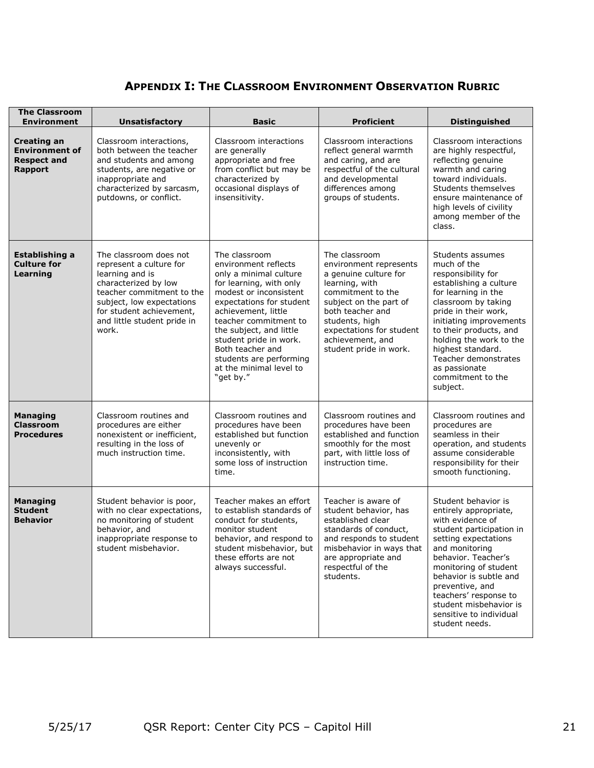## **APPENDIX I: THE CLASSROOM ENVIRONMENT OBSERVATION RUBRIC**

| <b>The Classroom</b><br><b>Environment</b>                                          | <b>Unsatisfactory</b>                                                                                                                                                                                                      | <b>Basic</b>                                                                                                                                                                                                                                                                                                                                 | <b>Proficient</b>                                                                                                                                                                                                                                 | <b>Distinguished</b>                                                                                                                                                                                                                                                                                                                 |
|-------------------------------------------------------------------------------------|----------------------------------------------------------------------------------------------------------------------------------------------------------------------------------------------------------------------------|----------------------------------------------------------------------------------------------------------------------------------------------------------------------------------------------------------------------------------------------------------------------------------------------------------------------------------------------|---------------------------------------------------------------------------------------------------------------------------------------------------------------------------------------------------------------------------------------------------|--------------------------------------------------------------------------------------------------------------------------------------------------------------------------------------------------------------------------------------------------------------------------------------------------------------------------------------|
| <b>Creating an</b><br><b>Environment of</b><br><b>Respect and</b><br><b>Rapport</b> | Classroom interactions,<br>both between the teacher<br>and students and among<br>students, are negative or<br>inappropriate and<br>characterized by sarcasm,<br>putdowns, or conflict.                                     | Classroom interactions<br>are generally<br>appropriate and free<br>from conflict but may be<br>characterized by<br>occasional displays of<br>insensitivity.                                                                                                                                                                                  | Classroom interactions<br>reflect general warmth<br>and caring, and are<br>respectful of the cultural<br>and developmental<br>differences among<br>groups of students.                                                                            | Classroom interactions<br>are highly respectful,<br>reflecting genuine<br>warmth and caring<br>toward individuals.<br>Students themselves<br>ensure maintenance of<br>high levels of civility<br>among member of the<br>class.                                                                                                       |
| Establishing a<br><b>Culture for</b><br>Learning                                    | The classroom does not<br>represent a culture for<br>learning and is<br>characterized by low<br>teacher commitment to the<br>subject, low expectations<br>for student achievement,<br>and little student pride in<br>work. | The classroom<br>environment reflects<br>only a minimal culture<br>for learning, with only<br>modest or inconsistent<br>expectations for student<br>achievement, little<br>teacher commitment to<br>the subject, and little<br>student pride in work.<br>Both teacher and<br>students are performing<br>at the minimal level to<br>"get by." | The classroom<br>environment represents<br>a genuine culture for<br>learning, with<br>commitment to the<br>subject on the part of<br>both teacher and<br>students, high<br>expectations for student<br>achievement, and<br>student pride in work. | Students assumes<br>much of the<br>responsibility for<br>establishing a culture<br>for learning in the<br>classroom by taking<br>pride in their work,<br>initiating improvements<br>to their products, and<br>holding the work to the<br>highest standard.<br>Teacher demonstrates<br>as passionate<br>commitment to the<br>subject. |
| <b>Managing</b><br><b>Classroom</b><br><b>Procedures</b>                            | Classroom routines and<br>procedures are either<br>nonexistent or inefficient,<br>resulting in the loss of<br>much instruction time.                                                                                       | Classroom routines and<br>procedures have been<br>established but function<br>unevenly or<br>inconsistently, with<br>some loss of instruction<br>time.                                                                                                                                                                                       | Classroom routines and<br>procedures have been<br>established and function<br>smoothly for the most<br>part, with little loss of<br>instruction time.                                                                                             | Classroom routines and<br>procedures are<br>seamless in their<br>operation, and students<br>assume considerable<br>responsibility for their<br>smooth functioning.                                                                                                                                                                   |
| <b>Managing</b><br><b>Student</b><br><b>Behavior</b>                                | Student behavior is poor,<br>with no clear expectations,<br>no monitoring of student<br>behavior, and<br>inappropriate response to<br>student misbehavior.                                                                 | Teacher makes an effort<br>to establish standards of<br>conduct for students,<br>monitor student<br>behavior, and respond to<br>student misbehavior, but<br>these efforts are not<br>always successful.                                                                                                                                      | Teacher is aware of<br>student behavior, has<br>established clear<br>standards of conduct,<br>and responds to student<br>misbehavior in ways that<br>are appropriate and<br>respectful of the<br>students.                                        | Student behavior is<br>entirely appropriate,<br>with evidence of<br>student participation in<br>setting expectations<br>and monitoring<br>behavior. Teacher's<br>monitoring of student<br>behavior is subtle and<br>preventive, and<br>teachers' response to<br>student misbehavior is<br>sensitive to individual<br>student needs.  |